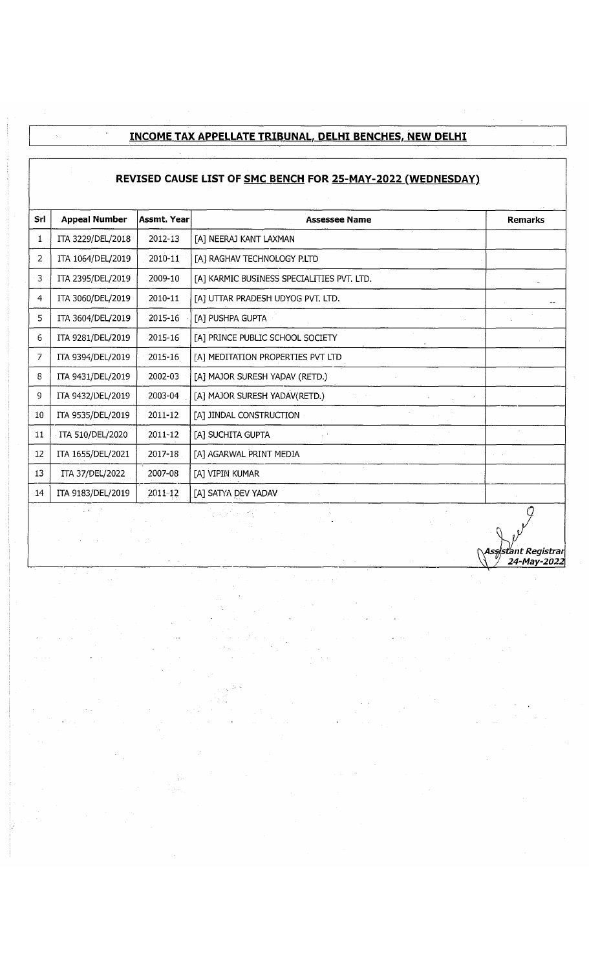## **INCOME TAX APPELLATE TRIBUNAL. DELHI BENCHES. NEW DELHI**

 $\hat{\mathcal{E}}$ 

 $\hat{\gamma}$ 

## **REVISED CAUSE LIST OF SMC BENCH FOR 25-MAY-2022 (WEDNESDAY)**

| Srl | <b>Appeal Number</b> | <b>Assmt. Year</b> | <b>Assessee Name</b>                       | <b>Remarks</b> |
|-----|----------------------|--------------------|--------------------------------------------|----------------|
| 1   | ITA 3229/DEL/2018    | 2012-13            | [A] NEERAJ KANT LAXMAN                     |                |
| 2   | ITA 1064/DEL/2019    | 2010-11            | [A] RAGHAV TECHNOLOGY P.LTD                |                |
| 3   | ITA 2395/DEL/2019    | 2009-10            | [A] KARMIC BUSINESS SPECIALITIES PVT. LTD. |                |
| 4   | ITA 3060/DEL/2019    | 2010-11            | [A] UTTAR PRADESH UDYOG PVT. LTD.          |                |
| 5   | ITA 3604/DEL/2019    | 2015-16            | [A] PUSHPA GUPTA                           |                |
| 6   | ITA 9281/DEL/2019    | 2015-16            | [A] PRINCE PUBLIC SCHOOL SOCIETY           |                |
| 7   | ITA 9394/DEL/2019    | 2015-16            | [A] MEDITATION PROPERTIES PVT LTD          |                |
| 8   | ITA 9431/DEL/2019    | 2002-03            | [A] MAJOR SURESH YADAV (RETD.)             |                |
| 9   | ITA 9432/DEL/2019    | 2003-04            | [A] MAJOR SURESH YADAV(RETD.)              |                |
| 10  | ITA 9535/DEL/2019    | 2011-12            | [A] JINDAL CONSTRUCTION                    |                |
| 11  | ITA 510/DEL/2020     | 2011-12            | [A] SUCHITA GUPTA                          |                |
| 12  | ITA 1655/DEL/2021    | 2017-18            | [A] AGARWAL PRINT MEDIA                    |                |
| 13  | ITA 37/DEL/2022      | 2007-08            | [A] VIPIN KUMAR                            |                |
| 14  | ITA 9183/DEL/2019    | $2011 - 12$        | [A] SATYA DEV YADAV                        |                |
|     |                      |                    |                                            | Q              |

*^Assistant Registrar* \Y *J 24-May-2022*